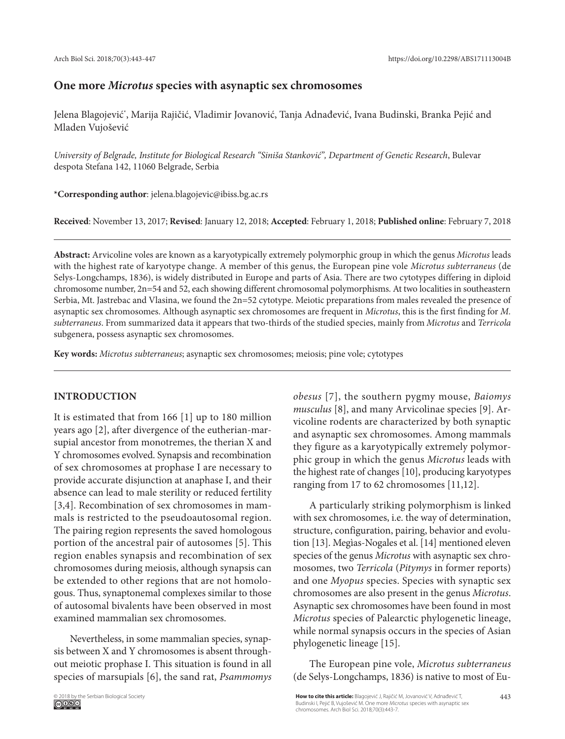# **One more** *Microtus* **species with asynaptic sex chromosomes**

Jelena Blagojević\* , Marija Rajičić, Vladimir Jovanović, Tanja Adnađević, Ivana Budinski, Branka Pejić and Mladen Vujošević

*University of Belgrade, Institute for Biological Research "Siniša Stanković", Department of Genetic Research*, Bulevar despota Stefana 142, 11060 Belgrade, Serbia

**\*Corresponding author**: jelena.blagojevic@ibiss.bg.ac.rs

**Received**: November 13, 2017; **Revised**: January 12, 2018; **Accepted**: February 1, 2018; **Published online**: February 7, 2018

**Abstract:** Arvicoline voles are known as a karyotypically extremely polymorphic group in which the genus *Microtus* leads with the highest rate of karyotype change. A member of this genus, the European pine vole *Microtus subterraneus* (de Selys-Longchamps, 1836), is widely distributed in Europe and parts of Asia. There are two cytotypes differing in diploid chromosome number, 2n=54 and 52, each showing different chromosomal polymorphisms. At two localities in southeastern Serbia, Mt. Jastrebac and Vlasina, we found the 2n=52 cytotype. Meiotic preparations from males revealed the presence of asynaptic sex chromosomes. Although asynaptic sex chromosomes are frequent in *Microtus*, this is the first finding for *M. subterraneus*. From summarized data it appears that two-thirds of the studied species, mainly from *Microtus* and *Terricola* subgenera, possess asynaptic sex chromosomes.

**Key words:** *Microtus subterraneus*; asynaptic sex chromosomes; meiosis; pine vole; cytotypes

# **INTRODUCTION**

It is estimated that from 166 [1] up to 180 million years ago [2], after divergence of the eutherian-marsupial ancestor from monotremes, the therian X and Y chromosomes evolved. Synapsis and recombination of sex chromosomes at prophase I are necessary to provide accurate disjunction at anaphase I, and their absence can lead to male sterility or reduced fertility [3,4]. Recombination of sex chromosomes in mammals is restricted to the pseudoautosomal region. The pairing region represents the saved homologous portion of the ancestral pair of autosomes [5]. This region enables synapsis and recombination of sex chromosomes during meiosis, although synapsis can be extended to other regions that are not homologous. Thus, synaptonemal complexes similar to those of autosomal bivalents have been observed in most examined mammalian sex chromosomes.

Nevertheless, in some mammalian species, synapsis between X and Y chromosomes is absent throughout meiotic prophase I. This situation is found in all species of marsupials [6], the sand rat, *Psammomys*  *obesus* [7], the southern pygmy mouse, *Baiomys musculus* [8], and many Arvicolinae species [9]. Arvicoline rodents are characterized by both synaptic and asynaptic sex chromosomes. Among mammals they figure as a karyotypically extremely polymorphic group in which the genus *Microtus* leads with the highest rate of changes [10], producing karyotypes ranging from 17 to 62 chromosomes [11,12].

A particularly striking polymorphism is linked with sex chromosomes, i.e. the way of determination, structure, configuration, pairing, behavior and evolution [13]. Megìas-Nogales et al. [14] mentioned eleven species of the genus *Microtus* with asynaptic sex chromosomes, two *Terricola* (*Pitymys* in former reports) and one *Myopus* species. Species with synaptic sex chromosomes are also present in the genus *Microtus*. Asynaptic sex chromosomes have been found in most *Microtus* species of Palearctic phylogenetic lineage, while normal synapsis occurs in the species of Asian phylogenetic lineage [15].

The European pine vole, *Microtus subterraneus* (de Selys-Longchamps, 1836) is native to most of Eu-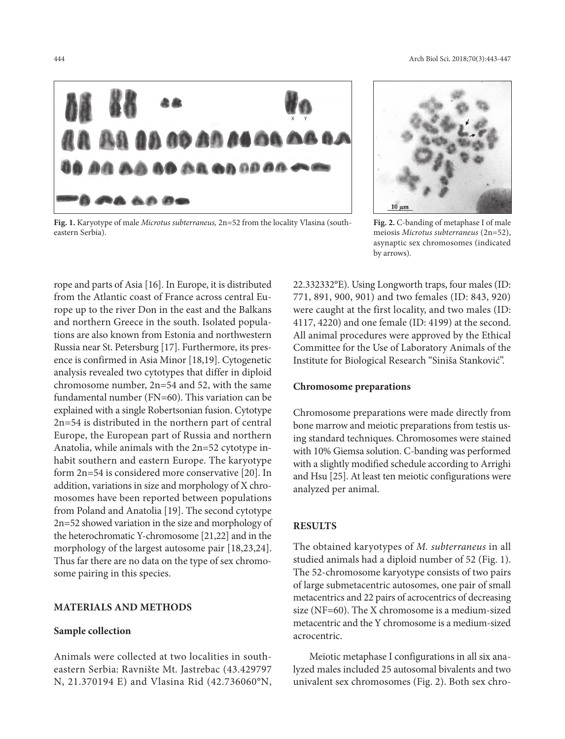

**Fig. 1.** Karyotype of male *Microtus subterraneus,* 2n=52 from the locality Vlasina (southeastern Serbia).

rope and parts of Asia [16]. In Europe, it is distributed from the Atlantic coast of France across central Europe up to the river Don in the east and the Balkans and northern Greece in the south. Isolated populations are also known from Estonia and northwestern Russia near St. Petersburg [17]. Furthermore, its presence is confirmed in Asia Minor [18,19]. Cytogenetic analysis revealed two cytotypes that differ in diploid chromosome number,  $2n=54$  and 52, with the same fundamental number (FN=60). This variation can be explained with a single Robertsonian fusion. Cytotype 2n=54 is distributed in the northern part of central Europe, the European part of Russia and northern Anatolia, while animals with the 2n=52 cytotype inhabit southern and eastern Europe. The karyotype form 2n=54 is considered more conservative [20]. In addition, variations in size and morphology of X chromosomes have been reported between populations from Poland and Anatolia [19]. The second cytotype 2n=52 showed variation in the size and morphology of the heterochromatic Y-chromosome [21,22] and in the morphology of the largest autosome pair [18,23,24]. Thus far there are no data on the type of sex chromosome pairing in this species.

# **MATERIALS AND METHODS**

# **Sample collection**

Animals were collected at two localities in southeastern Serbia: Ravnište Mt. Jastrebac (43.429797 N, 21.370194 E) and Vlasina Rid (42.736060°N,



**Fig. 2.** C-banding of metaphase I of male meiosis *Microtus subterraneus* (2n=52), asynaptic sex chromosomes (indicated by arrows)*.*

22.332332°E). Using Longworth traps, four males (ID: 771, 891, 900, 901) and two females (ID: 843, 920) were caught at the first locality, and two males (ID: 4117, 4220) and one female (ID: 4199) at the second. All animal procedures were approved by the Ethical Committee for the Use of Laboratory Animals of the Institute for Biological Research "Siniša Stanković".

#### **Chromosome preparations**

Chromosome preparations were made directly from bone marrow and meiotic preparations from testis using standard techniques. Chromosomes were stained with 10% Giemsa solution. C-banding was performed with a slightly modified schedule according to Arrighi and Hsu [25]. At least ten meiotic configurations were analyzed per animal.

### **RESULTS**

The obtained karyotypes of *M. subterraneus* in all studied animals had a diploid number of 52 (Fig. 1). The 52-chromosome karyotype consists of two pairs of large submetacentric autosomes, one pair of small metacentrics and 22 pairs of acrocentrics of decreasing size (NF=60). The X chromosome is a medium-sized metacentric and the Y chromosome is a medium-sized acrocentric.

Meiotic metaphase I configurations in all six analyzed males included 25 autosomal bivalents and two univalent sex chromosomes (Fig. 2). Both sex chro-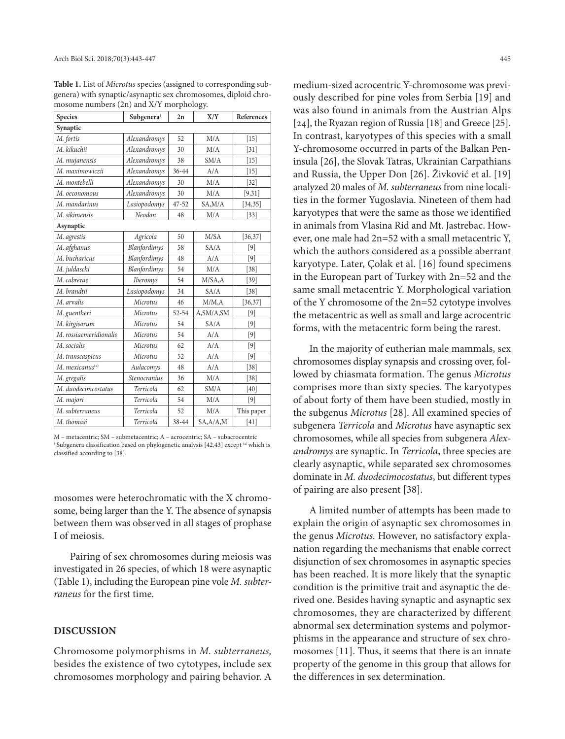**Table 1.** List of *Microtus* species (assigned to corresponding subgenera) with synaptic/asynaptic sex chromosomes, diploid chromosome numbers (2n) and X/Y morphology.

| <b>Species</b>              | Subgenera <sup>†</sup> | 2n        | X/Y        | References |
|-----------------------------|------------------------|-----------|------------|------------|
| Synaptic                    |                        |           |            |            |
| M. fortis                   | Alexandromys           | 52        | M/A        | $[15]$     |
| M. kikuchii                 | Alexandromys           | 30        | M/A        | $[31]$     |
| M. mujanensis               | Alexandromys           | 38        | SM/A       | $[15]$     |
| M. maximowiczii             | Alexandromys           | 36-44     | A/A        | $[15]$     |
| M. montebelli               | Alexandromys           | 30        | M/A        | $[32]$     |
| М. оесопотоиѕ               | Alexandromys           | 30        | M/A        | [9,31]     |
| M. mandarinus               | Lasiopodomys           | $47 - 52$ | SA, M/A    | [34, 35]   |
| M. sikimensis               | Neodon                 | 48        | M/A        | $[33]$     |
| Asynaptic                   |                        |           |            |            |
| M. agrestis                 | Agricola               | 50        | M/SA       | [36, 37]   |
| M. afghanus                 | Blanfordimys           | 58        | SA/A       | $[9]$      |
| M. bucharicus               | Blanfordimys           | 48        | A/A        | $[9]$      |
| M. juldaschi                | Blanfordimys           | 54        | M/A        | $[38]$     |
| M. cabrerae                 | <b>Iberomys</b>        | 54        | M/SA, A    | $[39]$     |
| M. brandtii                 | Lasiopodomys           | 34        | SA/A       | $[38]$     |
| M. arvalis                  | Microtus               | 46        | M/M,A      | [36, 37]   |
| M. guentheri                | Microtus               | 52-54     | A,SM/A,SM  | $[9]$      |
| M. kirgisorum               | Microtus               | 54        | SA/A       | $[9]$      |
| M. rossiaemeridionalis      | Microtus               | 54        | A/A        | $[9]$      |
| M. socialis                 | Microtus               | 62        | A/A        | $[9]$      |
| M. transcaspicus            | Microtus               | 52        | A/A        | $[9]$      |
| M. mexicanus <sup>(a)</sup> | Aulacomys              | 48        | A/A        | $[38]$     |
| M. gregalis                 | <b>Stenocranius</b>    | 36        | M/A        | $[38]$     |
| M. duodecimcostatus         | Terricola              | 62        | SM/A       | [40]       |
| M. majori                   | Terricola              | 54        | M/A        | $[9]$      |
| M. subterraneus             | Terricola              | 52        | M/A        | This paper |
| M. thomasi                  | Terricola              | 38-44     | SA, A/A, M | [41]       |

M – metacentric; SM – submetacentric; A – acrocentric; SA – subacrocentric **†** Subgenera classification based on phylogenetic analysis [42,43] except (a) which is classified according to [38].

mosomes were heterochromatic with the X chromosome, being larger than the Y. The absence of synapsis between them was observed in all stages of prophase I of meiosis.

Pairing of sex chromosomes during meiosis was investigated in 26 species, of which 18 were asynaptic (Table 1), including the European pine vole *M. subterraneus* for the first time.

#### **DISCUSSION**

Chromosome polymorphisms in *M. subterraneus,*  besides the existence of two cytotypes, include sex chromosomes morphology and pairing behavior. A

medium-sized acrocentric Y-chromosome was previously described for pine voles from Serbia [19] and was also found in animals from the Austrian Alps [24], the Ryazan region of Russia [18] and Greece [25]. In contrast, karyotypes of this species with a small Y-chromosome occurred in parts of the Balkan Peninsula [26], the Slovak Tatras, Ukrainian Carpathians and Russia, the Upper Don [26]. Živković et al. [19] analyzed 20 males of *M. subterraneus* from nine localities in the former Yugoslavia. Nineteen of them had karyotypes that were the same as those we identified in animals from Vlasina Rid and Mt. Jastrebac. However, one male had 2n=52 with a small metacentric Y, which the authors considered as a possible aberrant karyotype. Later, Çolak et al. [16] found specimens in the European part of Turkey with 2n=52 and the same small metacentric Y. Morphological variation of the Y chromosome of the 2n=52 cytotype involves the metacentric as well as small and large acrocentric forms, with the metacentric form being the rarest.

In the majority of eutherian male mammals, sex chromosomes display synapsis and crossing over, followed by chiasmata formation. The genus *Microtus* comprises more than sixty species. The karyotypes of about forty of them have been studied, mostly in the subgenus *Microtus* [28]. All examined species of subgenera *Terricola* and *Microtus* have asynaptic sex chromosomes, while all species from subgenera *Alexandromys* are synaptic. In *Terricola*, three species are clearly asynaptic, while separated sex chromosomes dominate in *M. duodecimocostatus*, but different types of pairing are also present [38].

A limited number of attempts has been made to explain the origin of asynaptic sex chromosomes in the genus *Microtus.* However, no satisfactory explanation regarding the mechanisms that enable correct disjunction of sex chromosomes in asynaptic species has been reached. It is more likely that the synaptic condition is the primitive trait and asynaptic the derived one. Besides having synaptic and asynaptic sex chromosomes, they are characterized by different abnormal sex determination systems and polymorphisms in the appearance and structure of sex chromosomes [11]. Thus, it seems that there is an innate property of the genome in this group that allows for the differences in sex determination.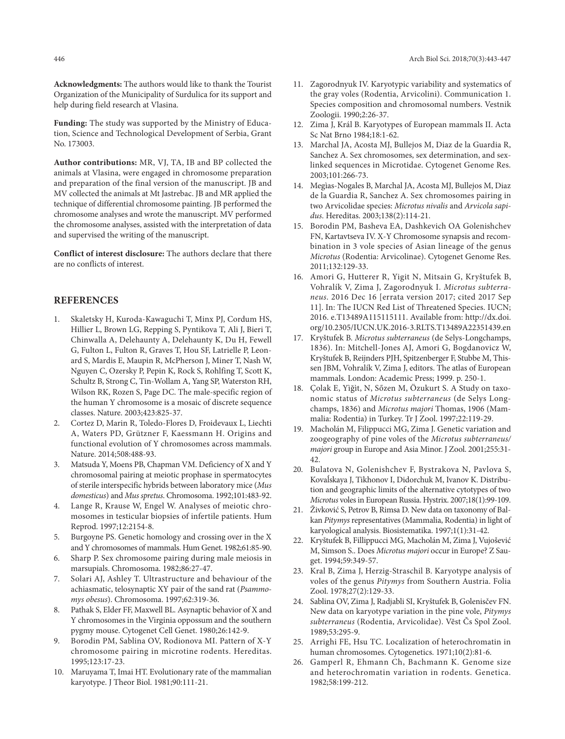**Acknowledgments:** The authors would like to thank the Tourist Organization of the Municipality of Surdulica for its support and help during field research at Vlasina.

**Funding:** The study was supported by the Ministry of Education, Science and Technological Development of Serbia, Grant No. 173003.

**Author contributions:** MR, VJ, TA, IB and BP collected the animals at Vlasina, were engaged in chromosome preparation and preparation of the final version of the manuscript. JB and MV collected the animals at Mt Jastrebac. JB and MR applied the technique of differential chromosome painting. JB performed the chromosome analyses and wrote the manuscript. MV performed the chromosome analyses, assisted with the interpretation of data and supervised the writing of the manuscript.

**Conflict of interest disclosure:** The authors declare that there are no conflicts of interest.

### **REFERENCES**

- 1. Skaletsky H, Kuroda-Kawaguchi T, Minx PJ, Cordum HS, Hillier L, Brown LG, Repping S, Pyntikova T, Ali J, Bieri T, Chinwalla A, Delehaunty A, Delehaunty K, Du H, Fewell G, Fulton L, Fulton R, Graves T, Hou SF, Latrielle P, Leonard S, Mardis E, Maupin R, McPherson J, Miner T, Nash W, Nguyen C, Ozersky P, Pepin K, Rock S, Rohlfing T, Scott K, Schultz B, Strong C, Tin-Wollam A, Yang SP, Waterston RH, Wilson RK, Rozen S, Page DC. The male-specific region of the human Y chromosome is a mosaic of discrete sequence classes. Nature. 2003;423:825-37.
- 2. Cortez D, Marin R, Toledo-Flores D, Froidevaux L, Liechti A, Waters PD, Grützner F, Kaessmann H. Origins and functional evolution of Y chromosomes across mammals. Nature. 2014;508:488-93.
- 3. Matsuda Y, Moens PB, Chapman VM. Deficiency of X and Y chromosomal pairing at meiotic prophase in spermatocytes of sterile interspecific hybrids between laboratory mice (*Mus domesticus*) and *Mus spretus*. Chromosoma. 1992;101:483-92.
- 4. Lange R, Krause W, Engel W. Analyses of meiotic chromosomes in testicular biopsies of infertile patients. Hum Reprod. 1997;12:2154-8.
- 5. Burgoyne PS. Genetic homology and crossing over in the X and Y chromosomes of mammals. Hum Genet. 1982;61:85-90.
- 6. Sharp P. Sex chromosome pairing during male meiosis in marsupials. Chromosoma. 1982;86:27-47.
- 7. Solari AJ, Ashley T. Ultrastructure and behaviour of the achiasmatic, telosynaptic XY pair of the sand rat (*Psammomys obesus*). Chromosoma. 1997;62:319-36.
- 8. Pathak S, Elder FF, Maxwell BL. Asynaptic behavior of X and Y chromosomes in the Virginia oppossum and the southern pygmy mouse. Cytogenet Cell Genet. 1980;26:142-9.
- 9. Borodin PM, Sablina OV, Rodionova MI. Pattern of X-Y chromosome pairing in microtine rodents. Hereditas. 1995;123:17-23.
- 10. Maruyama T, Imai HT. Evolutionary rate of the mammalian karyotype. J Theor Biol. 1981;90:111-21.
- 11. Zagorodnyuk IV. Karyotypic variability and systematics of the gray voles (Rodentia, Arvicolini). Communication 1. Species composition and chromosomal numbers. Vestnik Zoologii. 1990;2:26-37.
- 12. Zima J, Král B. Karyotypes of European mammals II. Acta Sc Nat Brno 1984;18:1-62.
- 13. Marchal JA, Acosta MJ, Bullejos M, Diaz de la Guardia R, Sanchez A. Sex chromosomes, sex determination, and sexlinked sequences in Microtidae. Cytogenet Genome Res. 2003;101:266-73.
- 14. Megìas-Nogales B, Marchal JA, Acosta MJ, Bullejos M, Diaz de la Guardia R, Sanchez A. Sex chromosomes pairing in two Arvicolidae species: *Microtus nivalis* and *Arvicola sapidus*. Hereditas. 2003;138(2):114-21.
- 15. Borodin PM, Basheva EA, Dashkevich OA Golenishchev FN, Kartavtseva IV. X-Y Chromosome synapsis and recombination in 3 vole species of Asian lineage of the genus *Microtus* (Rodentia: Arvicolinae). Cytogenet Genome Res. 2011;132:129-33.
- 16. Amori G, Hutterer R, Yigit N, Mitsain G, Kryštufek B, Vohralík V, Zima J, Zagorodnyuk I. *Microtus subterraneus*. 2016 Dec 16 [errata version 2017; cited 2017 Sep 11]. In: The IUCN Red List of Threatened Species. IUCN; 2016. e.T13489A115115111. Available from: http://dx.doi. org/10.2305/IUCN.UK.2016-3.RLTS.T13489A22351439.en
- 17. Kryštufek B. *Microtus subterraneus* (de Selys-Longchamps, 1836). In: Mitchell-Jones AJ, Amori G, Bogdanovicz W, Kryštufek B, Reijnders PJH, Spitzenberger F, Stubbe M, Thissen JBM, Vohralík V, Zima J, editors. The atlas of European mammals. London: Academic Press; 1999. p. 250-1.
- 18. Çolak E, Yìğìt, N, Sőzen M, Özukurt S. A Study on taxonomic status of *Microtus subterraneus* (de Selys Longchamps, 1836) and *Microtus majori* Thomas, 1906 (Mammalia: Rodentia) in Turkey. Tr J Zool. 1997;22:119-29.
- 19. Macholán M, Filippucci MG, Zima J. Genetic variation and zoogeography of pine voles of the *Microtus subterraneus/ majori* group in Europe and Asia Minor. J Zool. 2001;255:31- 42.
- 20. Bulatova N, Golenishchev F, Bystrakova N, Pavlova S, Kovaĺskaya J, Tikhonov I, Didorchuk M, Ivanov K. Distribution and geographic limits of the alternative cytotypes of two *Microtus* voles in European Russia. Hystrix. 2007;18(1):99-109.
- 21. Živković S, Petrov B, Rimsa D. New data on taxonomy of Balkan *Pitymys* representatives (Mammalia, Rodentia) in light of karyological analysis. Biosistematika. 1997;1(1):31-42.
- 22. Kryštufek B, Fillippucci MG, Macholán M, Zima J, Vujošević M, Simson S.. Does *Microtus majori* occur in Europe? Z Sauget. 1994;59:349-57.
- 23. Kral B, Zima J, Herzig-Straschil B. Karyotype analysis of voles of the genus *Pitymys* from Southern Austria. Folia Zool. 1978;27(2):129-33.
- 24. Sablina OV, Zima J, Radjabli SI, Kryštufek B, Golenisčev FN. New data on karyotype variation in the pine vole, *Pitymys subterraneus* (Rodentia, Arvicolidae). Vĕst Čs Spol Zool. 1989;53:295-9.
- 25. Arrighi FE, Hsu TC. Localization of heterochromatin in human chromosomes. Cytogenetics. 1971;10(2):81-6.
- 26. Gamperl R, Ehmann Ch, Bachmann K. Genome size and heterochromatin variation in rodents. Genetica. 1982;58:199-212.